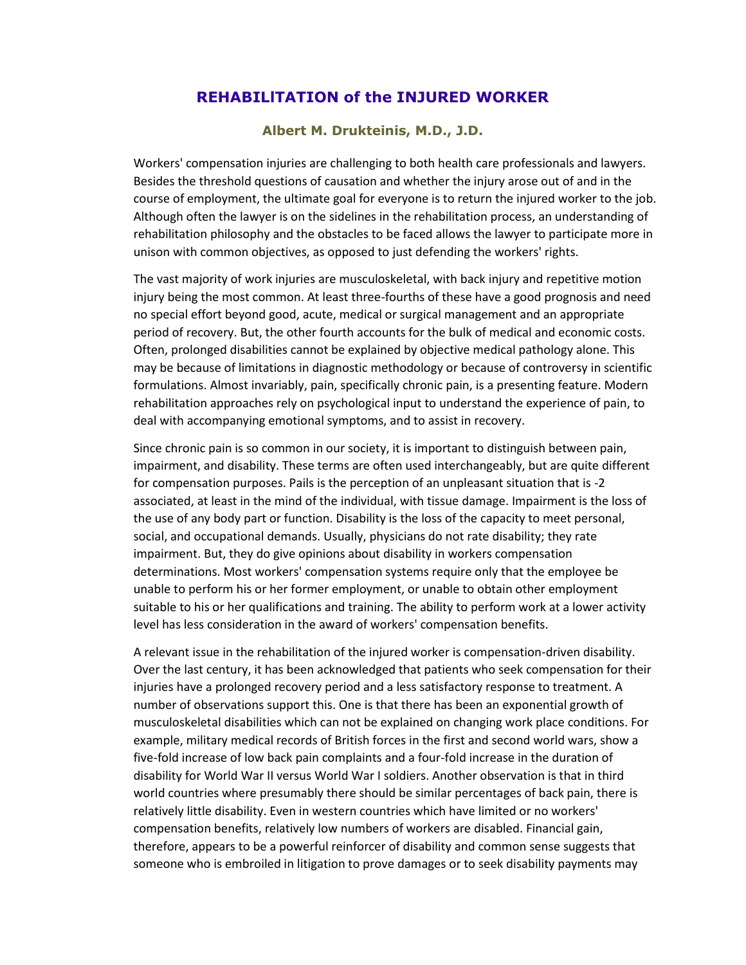## **REHABILlTATION of the INJURED WORKER**

## **Albert M. Drukteinis, M.D., J.D.**

Workers' compensation injuries are challenging to both health care professionals and lawyers. Besides the threshold questions of causation and whether the injury arose out of and in the course of employment, the ultimate goal for everyone is to return the injured worker to the job. Although often the lawyer is on the sidelines in the rehabilitation process, an understanding of rehabilitation philosophy and the obstacles to be faced allows the lawyer to participate more in unison with common objectives, as opposed to just defending the workers' rights.

The vast majority of work injuries are musculoskeletal, with back injury and repetitive motion injury being the most common. At least three-fourths of these have a good prognosis and need no special effort beyond good, acute, medical or surgical management and an appropriate period of recovery. But, the other fourth accounts for the bulk of medical and economic costs. Often, prolonged disabilities cannot be explained by objective medical pathology alone. This may be because of limitations in diagnostic methodology or because of controversy in scientific formulations. Almost invariably, pain, specifically chronic pain, is a presenting feature. Modern rehabilitation approaches rely on psychological input to understand the experience of pain, to deal with accompanying emotional symptoms, and to assist in recovery.

Since chronic pain is so common in our society, it is important to distinguish between pain, impairment, and disability. These terms are often used interchangeably, but are quite different for compensation purposes. Pails is the perception of an unpleasant situation that is -2 associated, at least in the mind of the individual, with tissue damage. Impairment is the loss of the use of any body part or function. Disability is the loss of the capacity to meet personal, social, and occupational demands. Usually, physicians do not rate disability; they rate impairment. But, they do give opinions about disability in workers compensation determinations. Most workers' compensation systems require only that the employee be unable to perform his or her former employment, or unable to obtain other employment suitable to his or her qualifications and training. The ability to perform work at a lower activity level has less consideration in the award of workers' compensation benefits.

A relevant issue in the rehabilitation of the injured worker is compensation-driven disability. Over the last century, it has been acknowledged that patients who seek compensation for their injuries have a prolonged recovery period and a less satisfactory response to treatment. A number of observations support this. One is that there has been an exponential growth of musculoskeletal disabilities which can not be explained on changing work place conditions. For example, military medical records of British forces in the first and second world wars, show a five-fold increase of low back pain complaints and a four-fold increase in the duration of disability for World War II versus World War I soldiers. Another observation is that in third world countries where presumably there should be similar percentages of back pain, there is relatively little disability. Even in western countries which have limited or no workers' compensation benefits, relatively low numbers of workers are disabled. Financial gain, therefore, appears to be a powerful reinforcer of disability and common sense suggests that someone who is embroiled in litigation to prove damages or to seek disability payments may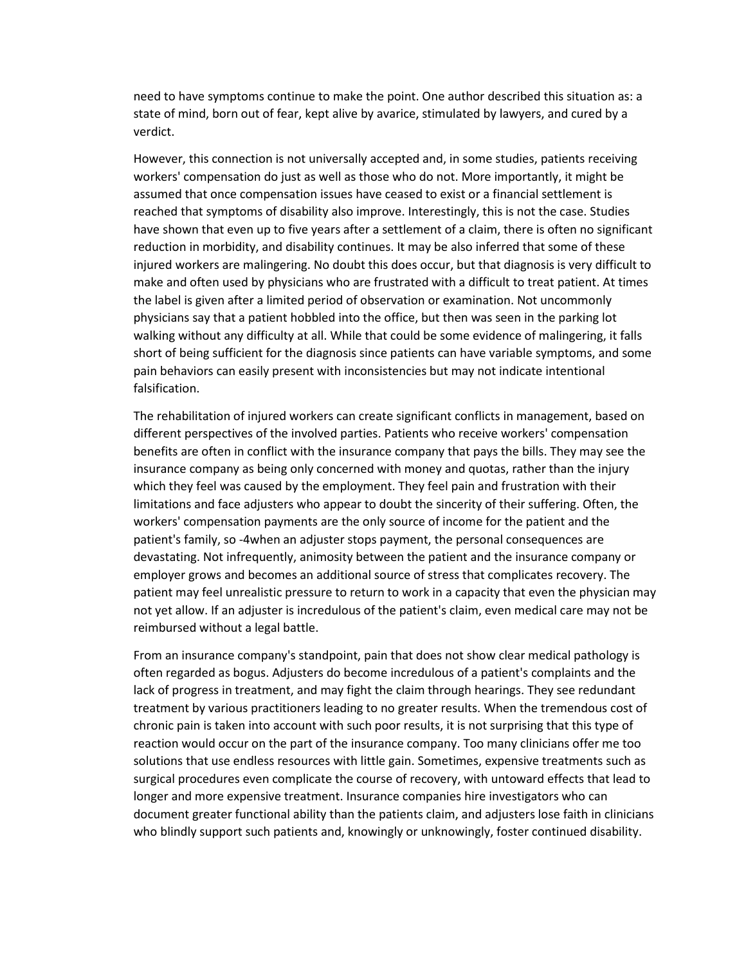need to have symptoms continue to make the point. One author described this situation as: a state of mind, born out of fear, kept alive by avarice, stimulated by lawyers, and cured by a verdict.

However, this connection is not universally accepted and, in some studies, patients receiving workers' compensation do just as well as those who do not. More importantly, it might be assumed that once compensation issues have ceased to exist or a financial settlement is reached that symptoms of disability also improve. Interestingly, this is not the case. Studies have shown that even up to five years after a settlement of a claim, there is often no significant reduction in morbidity, and disability continues. It may be also inferred that some of these injured workers are malingering. No doubt this does occur, but that diagnosis is very difficult to make and often used by physicians who are frustrated with a difficult to treat patient. At times the label is given after a limited period of observation or examination. Not uncommonly physicians say that a patient hobbled into the office, but then was seen in the parking lot walking without any difficulty at all. While that could be some evidence of malingering, it falls short of being sufficient for the diagnosis since patients can have variable symptoms, and some pain behaviors can easily present with inconsistencies but may not indicate intentional falsification.

The rehabilitation of injured workers can create significant conflicts in management, based on different perspectives of the involved parties. Patients who receive workers' compensation benefits are often in conflict with the insurance company that pays the bills. They may see the insurance company as being only concerned with money and quotas, rather than the injury which they feel was caused by the employment. They feel pain and frustration with their limitations and face adjusters who appear to doubt the sincerity of their suffering. Often, the workers' compensation payments are the only source of income for the patient and the patient's family, so -4when an adjuster stops payment, the personal consequences are devastating. Not infrequently, animosity between the patient and the insurance company or employer grows and becomes an additional source of stress that complicates recovery. The patient may feel unrealistic pressure to return to work in a capacity that even the physician may not yet allow. If an adjuster is incredulous of the patient's claim, even medical care may not be reimbursed without a legal battle.

From an insurance company's standpoint, pain that does not show clear medical pathology is often regarded as bogus. Adjusters do become incredulous of a patient's complaints and the lack of progress in treatment, and may fight the claim through hearings. They see redundant treatment by various practitioners leading to no greater results. When the tremendous cost of chronic pain is taken into account with such poor results, it is not surprising that this type of reaction would occur on the part of the insurance company. Too many clinicians offer me too solutions that use endless resources with little gain. Sometimes, expensive treatments such as surgical procedures even complicate the course of recovery, with untoward effects that lead to longer and more expensive treatment. Insurance companies hire investigators who can document greater functional ability than the patients claim, and adjusters lose faith in clinicians who blindly support such patients and, knowingly or unknowingly, foster continued disability.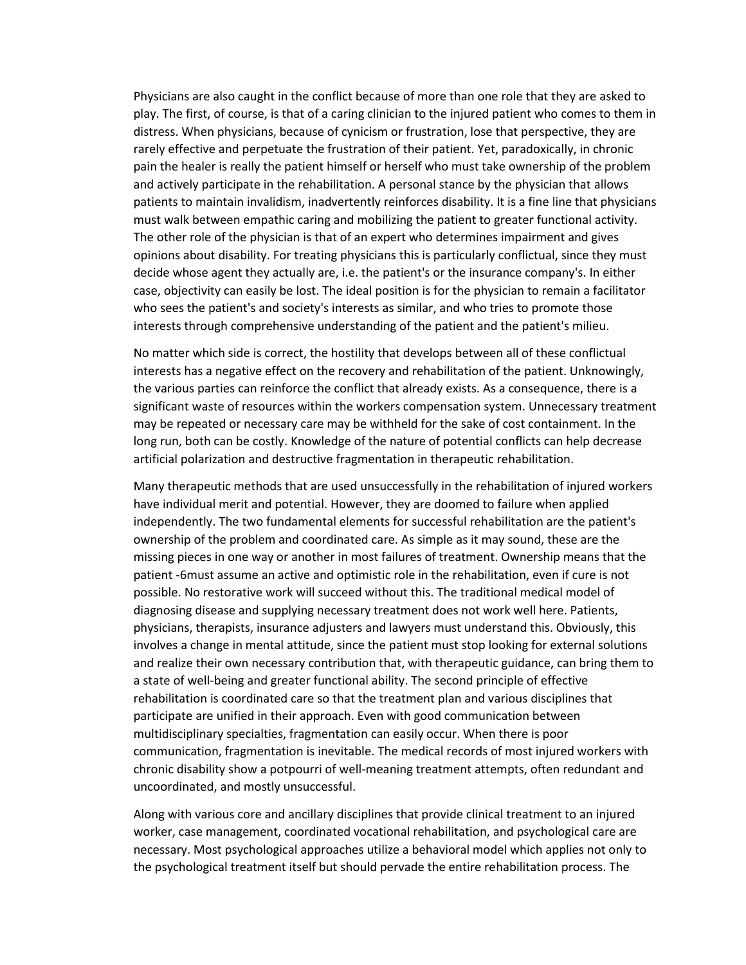Physicians are also caught in the conflict because of more than one role that they are asked to play. The first, of course, is that of a caring clinician to the injured patient who comes to them in distress. When physicians, because of cynicism or frustration, lose that perspective, they are rarely effective and perpetuate the frustration of their patient. Yet, paradoxically, in chronic pain the healer is really the patient himself or herself who must take ownership of the problem and actively participate in the rehabilitation. A personal stance by the physician that allows patients to maintain invalidism, inadvertently reinforces disability. It is a fine line that physicians must walk between empathic caring and mobilizing the patient to greater functional activity. The other role of the physician is that of an expert who determines impairment and gives opinions about disability. For treating physicians this is particularly conflictual, since they must decide whose agent they actually are, i.e. the patient's or the insurance company's. In either case, objectivity can easily be lost. The ideal position is for the physician to remain a facilitator who sees the patient's and society's interests as similar, and who tries to promote those interests through comprehensive understanding of the patient and the patient's milieu.

No matter which side is correct, the hostility that develops between all of these conflictual interests has a negative effect on the recovery and rehabilitation of the patient. Unknowingly, the various parties can reinforce the conflict that already exists. As a consequence, there is a significant waste of resources within the workers compensation system. Unnecessary treatment may be repeated or necessary care may be withheld for the sake of cost containment. In the long run, both can be costly. Knowledge of the nature of potential conflicts can help decrease artificial polarization and destructive fragmentation in therapeutic rehabilitation.

Many therapeutic methods that are used unsuccessfully in the rehabilitation of injured workers have individual merit and potential. However, they are doomed to failure when applied independently. The two fundamental elements for successful rehabilitation are the patient's ownership of the problem and coordinated care. As simple as it may sound, these are the missing pieces in one way or another in most failures of treatment. Ownership means that the patient -6must assume an active and optimistic role in the rehabilitation, even if cure is not possible. No restorative work will succeed without this. The traditional medical model of diagnosing disease and supplying necessary treatment does not work well here. Patients, physicians, therapists, insurance adjusters and lawyers must understand this. Obviously, this involves a change in mental attitude, since the patient must stop looking for external solutions and realize their own necessary contribution that, with therapeutic guidance, can bring them to a state of well-being and greater functional ability. The second principle of effective rehabilitation is coordinated care so that the treatment plan and various disciplines that participate are unified in their approach. Even with good communication between multidisciplinary specialties, fragmentation can easily occur. When there is poor communication, fragmentation is inevitable. The medical records of most injured workers with chronic disability show a potpourri of well-meaning treatment attempts, often redundant and uncoordinated, and mostly unsuccessful.

Along with various core and ancillary disciplines that provide clinical treatment to an injured worker, case management, coordinated vocational rehabilitation, and psychological care are necessary. Most psychological approaches utilize a behavioral model which applies not only to the psychological treatment itself but should pervade the entire rehabilitation process. The